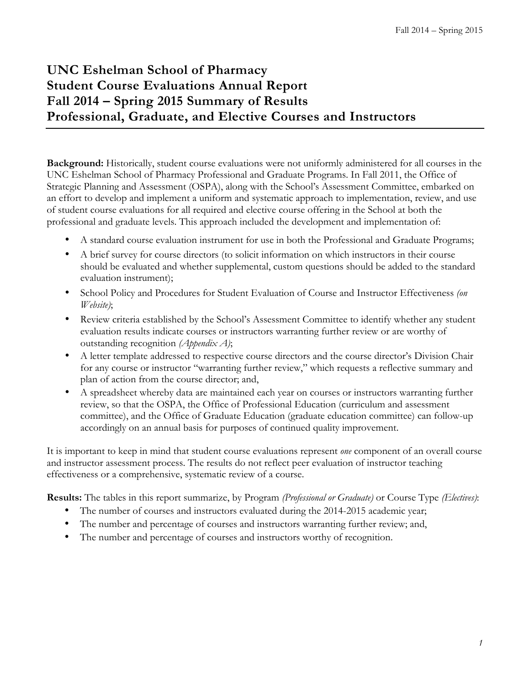# **UNC Eshelman School of Pharmacy Student Course Evaluations Annual Report Fall 2014 – Spring 2015 Summary of Results Professional, Graduate, and Elective Courses and Instructors**

**Background:** Historically, student course evaluations were not uniformly administered for all courses in the UNC Eshelman School of Pharmacy Professional and Graduate Programs. In Fall 2011, the Office of Strategic Planning and Assessment (OSPA), along with the School's Assessment Committee, embarked on an effort to develop and implement a uniform and systematic approach to implementation, review, and use of student course evaluations for all required and elective course offering in the School at both the professional and graduate levels. This approach included the development and implementation of:

- A standard course evaluation instrument for use in both the Professional and Graduate Programs;
- A brief survey for course directors (to solicit information on which instructors in their course should be evaluated and whether supplemental, custom questions should be added to the standard evaluation instrument);
- School Policy and Procedures for Student Evaluation of Course and Instructor Effectiveness *(on Website)*;
- Review criteria established by the School's Assessment Committee to identify whether any student evaluation results indicate courses or instructors warranting further review or are worthy of outstanding recognition *(Appendix A)*;
- A letter template addressed to respective course directors and the course director's Division Chair for any course or instructor "warranting further review," which requests a reflective summary and plan of action from the course director; and,
- A spreadsheet whereby data are maintained each year on courses or instructors warranting further review, so that the OSPA, the Office of Professional Education (curriculum and assessment committee), and the Office of Graduate Education (graduate education committee) can follow-up accordingly on an annual basis for purposes of continued quality improvement.

It is important to keep in mind that student course evaluations represent *one* component of an overall course and instructor assessment process. The results do not reflect peer evaluation of instructor teaching effectiveness or a comprehensive, systematic review of a course.

**Results:** The tables in this report summarize, by Program *(Professional or Graduate)* or Course Type *(Electives)*:

- The number of courses and instructors evaluated during the 2014-2015 academic year;
- The number and percentage of courses and instructors warranting further review; and,
- The number and percentage of courses and instructors worthy of recognition.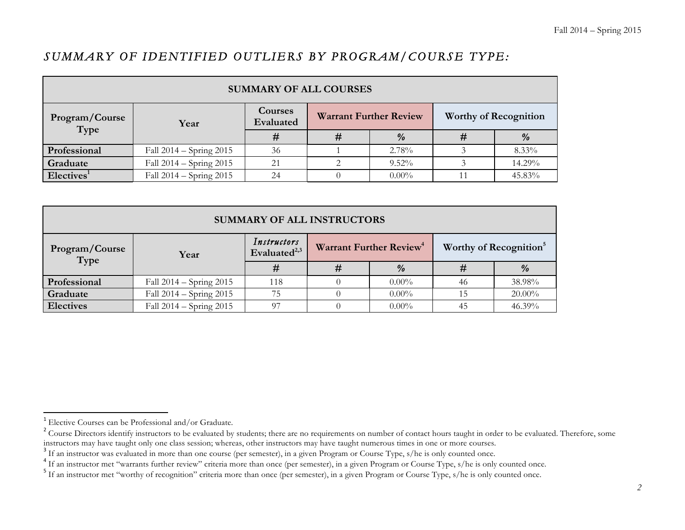# *SUMMARY OF IDENTIFIED OUTLIERS BY PROGRAM/COURSE TYPE:*

| <b>SUMMARY OF ALL COURSES</b> |                             |                             |                               |               |                              |          |  |  |
|-------------------------------|-----------------------------|-----------------------------|-------------------------------|---------------|------------------------------|----------|--|--|
| Program/Course<br>Type        | Year                        | <b>Courses</b><br>Evaluated | <b>Warrant Further Review</b> |               | <b>Worthy of Recognition</b> |          |  |  |
|                               |                             | #                           |                               | $\frac{9}{6}$ |                              | $\%$     |  |  |
| Professional                  | Fall $2014 -$ Spring $2015$ | 36                          |                               | 2.78%         |                              | $8.33\%$ |  |  |
| Graduate                      | Fall $2014 -$ Spring $2015$ | 21                          |                               | $9.52\%$      |                              | 14.29%   |  |  |
| Electives <sup>1</sup>        | Fall 2014 – Spring 2015     | 24                          |                               | $0.00\%$      |                              | 45.83%   |  |  |

| <b>SUMMARY OF ALL INSTRUCTORS</b> |                         |                                         |  |                                     |    |                                    |  |
|-----------------------------------|-------------------------|-----------------------------------------|--|-------------------------------------|----|------------------------------------|--|
| Program/Course<br>Type            | Year                    | Instructors<br>Evaluated <sup>2,3</sup> |  | Warrant Further Review <sup>4</sup> |    | Worthy of Recognition <sup>5</sup> |  |
|                                   |                         | #                                       |  | $\frac{9}{6}$                       |    | $\frac{0}{0}$                      |  |
| Professional                      | Fall 2014 – Spring 2015 | 118                                     |  | $0.00\%$                            | 46 | 38.98%                             |  |
| Graduate                          | Fall 2014 - Spring 2015 | 75                                      |  | $0.00\%$                            |    | $20.00\%$                          |  |
| <b>Electives</b>                  | Fall 2014 – Spring 2015 | 97                                      |  | $0.00\%$                            | 45 | 46.39%                             |  |

<u> 1989 - Johann Stein, markin film yn y breninn y breninn y breninn y breninn y breninn y breninn y breninn y b</u>

<sup>&</sup>lt;sup>1</sup> Elective Courses can be Professional and/or Graduate.

<sup>&</sup>lt;sup>2</sup> Course Directors identify instructors to be evaluated by students; there are no requirements on number of contact hours taught in order to be evaluated. Therefore, some instructors may have taught numerous times in one

<sup>&</sup>lt;sup>3</sup> If an instructor was evaluated in more than one course (per semester), in a given Program or Course Type, s/he is only counted once.<br><sup>4</sup> If an instructor met "warrants further review" criteria more than once (per semes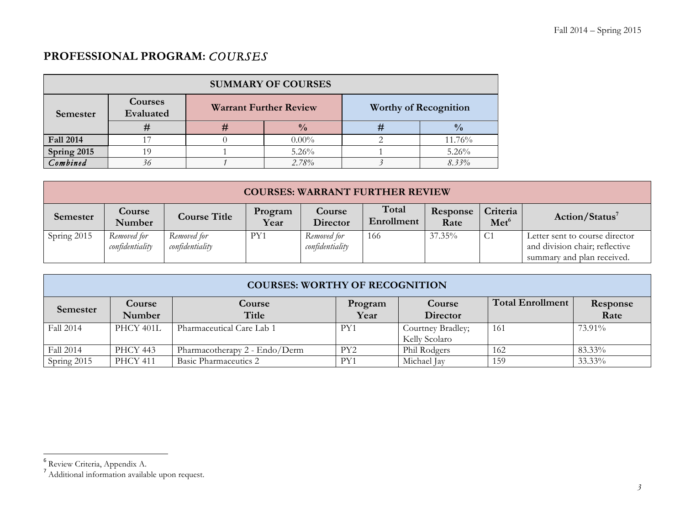# **PROFESSIONAL PROGRAM:** *COURSES*

| <b>SUMMARY OF COURSES</b> |                             |   |                               |                              |               |  |  |  |  |
|---------------------------|-----------------------------|---|-------------------------------|------------------------------|---------------|--|--|--|--|
| Semester                  | <b>Courses</b><br>Evaluated |   | <b>Warrant Further Review</b> | <b>Worthy of Recognition</b> |               |  |  |  |  |
|                           |                             | # | $\frac{0}{0}$                 | #                            | $\frac{0}{0}$ |  |  |  |  |
| <b>Fall 2014</b>          |                             |   | $0.00\%$                      |                              | 11.76%        |  |  |  |  |
| Spring 2015               | 19                          |   | $5.26\%$                      |                              | $5.26\%$      |  |  |  |  |
| Combined                  | 36                          |   | 2.78%                         |                              | $8.33\%$      |  |  |  |  |

|                 | <b>COURSES: WARRANT FURTHER REVIEW</b> |                                |                 |                                |                     |                  |                              |                                                                                                |  |  |
|-----------------|----------------------------------------|--------------------------------|-----------------|--------------------------------|---------------------|------------------|------------------------------|------------------------------------------------------------------------------------------------|--|--|
| <b>Semester</b> | Course<br>Number                       | <b>Course Title</b>            | Program<br>Year | Course<br>Director             | Total<br>Enrollment | Response<br>Rate | Criteria<br>Met <sup>6</sup> | Action/Status <sup>7</sup>                                                                     |  |  |
| Spring 2015     | Removed for<br>confidentiality         | Removed for<br>confidentiality | PY1             | Removed for<br>confidentiality | 166                 | $37.35\%$        | C <sub>1</sub>               | Letter sent to course director<br>and division chair; reflective<br>summary and plan received. |  |  |

|             | <b>COURSES: WORTHY OF RECOGNITION</b> |                               |                 |                                    |                         |                  |  |  |  |  |
|-------------|---------------------------------------|-------------------------------|-----------------|------------------------------------|-------------------------|------------------|--|--|--|--|
| Semester    | Course<br><b>Number</b>               | <b>Course</b><br>Title        | Program<br>Year | Course<br>Director                 | <b>Total Enrollment</b> | Response<br>Rate |  |  |  |  |
| Fall 2014   | <b>PHCY 401L</b>                      | Pharmaceutical Care Lab 1     | PY1             | Courtney Bradley;<br>Kelly Scolaro | 161                     | 73.91%           |  |  |  |  |
| Fall 2014   | <b>PHCY 443</b>                       | Pharmacotherapy 2 - Endo/Derm | PY <sub>2</sub> | Phil Rodgers                       | 162                     | 83.33%           |  |  |  |  |
| Spring 2015 | <b>PHCY 411</b>                       | <b>Basic Pharmaceutics 2</b>  | PY1             | Michael Jay                        | 159                     | 33.33%           |  |  |  |  |

<u> 1989 - Johann Stein, markin film yn y breninn y breninn y breninn y breninn y breninn y breninn y breninn y b</u>

<sup>&</sup>lt;sup>6</sup> Review Criteria, Appendix A.

<sup>&</sup>lt;sup>7</sup> Additional information available upon request.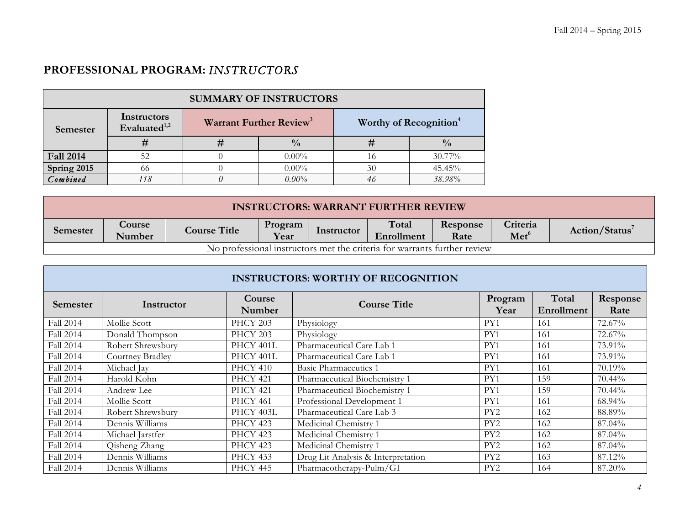# **PROFESSIONAL PROGRAM:** *INSTRUCTORS*

| <b>SUMMARY OF INSTRUCTORS</b> |                                |  |                                           |                                    |               |  |  |  |
|-------------------------------|--------------------------------|--|-------------------------------------------|------------------------------------|---------------|--|--|--|
| Semester                      | Instructors<br>Evaluated $1,2$ |  | <b>Warrant Further Review<sup>3</sup></b> | Worthy of Recognition <sup>4</sup> |               |  |  |  |
|                               |                                |  | $\frac{0}{0}$                             |                                    | $\frac{0}{0}$ |  |  |  |
| <b>Fall 2014</b>              | 52                             |  | $0.00\%$                                  | 16                                 | $30.77\%$     |  |  |  |
| Spring 2015                   | 66                             |  | $0.00\%$                                  | 30                                 | 45.45%        |  |  |  |
| Combined                      | 118                            |  | $0.00\%$                                  |                                    | 38.98%        |  |  |  |

|                                                                          | <b>INSTRUCTORS: WARRANT FURTHER REVIEW</b> |                     |                 |            |                     |                  |                              |                            |
|--------------------------------------------------------------------------|--------------------------------------------|---------------------|-----------------|------------|---------------------|------------------|------------------------------|----------------------------|
| Semester                                                                 | Course<br>Number                           | <b>Course Title</b> | Program<br>Year | Instructor | Total<br>Enrollment | Response<br>Rate | Criteria<br>Met <sup>6</sup> | Action/Status <sup>7</sup> |
| No professional instructors met the criteria for warrants further review |                                            |                     |                 |            |                     |                  |                              |                            |

|           | <b>INSTRUCTORS: WORTHY OF RECOGNITION</b> |                         |                                    |                 |                     |                  |  |  |  |  |  |
|-----------|-------------------------------------------|-------------------------|------------------------------------|-----------------|---------------------|------------------|--|--|--|--|--|
| Semester  | Instructor                                | <b>Course</b><br>Number | Course Title                       | Program<br>Year | Total<br>Enrollment | Response<br>Rate |  |  |  |  |  |
| Fall 2014 | Mollie Scott                              | PHCY 203                | Physiology                         | PY1             | 161                 | 72.67%           |  |  |  |  |  |
| Fall 2014 | Donald Thompson                           | PHCY 203                | Physiology                         | PY1             | 161                 | 72.67%           |  |  |  |  |  |
| Fall 2014 | Robert Shrewsbury                         | PHCY 401L               | Pharmaceutical Care Lab 1          | PY1             | 161                 | 73.91%           |  |  |  |  |  |
| Fall 2014 | Courtney Bradley                          | PHCY 401L               | Pharmaceutical Care Lab 1          | PY1             | 161                 | 73.91%           |  |  |  |  |  |
| Fall 2014 | Michael Jay                               | PHCY 410                | <b>Basic Pharmaceutics 1</b>       | PY1             | 161                 | 70.19%           |  |  |  |  |  |
| Fall 2014 | Harold Kohn                               | PHCY 421                | Pharmaceutical Biochemistry 1      | PY1             | 159                 | 70.44%           |  |  |  |  |  |
| Fall 2014 | Andrew Lee                                | PHCY 421                | Pharmaceutical Biochemistry 1      | PY1             | 159                 | 70.44%           |  |  |  |  |  |
| Fall 2014 | Mollie Scott                              | <b>PHCY 461</b>         | Professional Development 1         | PY1             | 161                 | 68.94%           |  |  |  |  |  |
| Fall 2014 | Robert Shrewsbury                         | PHCY 403L               | Pharmaceutical Care Lab 3          | PY <sub>2</sub> | 162                 | 88.89%           |  |  |  |  |  |
| Fall 2014 | Dennis Williams                           | <b>PHCY 423</b>         | Medicinal Chemistry 1              | PY <sub>2</sub> | 162                 | 87.04%           |  |  |  |  |  |
| Fall 2014 | Michael Jarstfer                          | <b>PHCY 423</b>         | Medicinal Chemistry 1              | PY <sub>2</sub> | 162                 | 87.04%           |  |  |  |  |  |
| Fall 2014 | Qisheng Zhang                             | <b>PHCY 423</b>         | Medicinal Chemistry 1              | PY <sub>2</sub> | 162                 | 87.04%           |  |  |  |  |  |
| Fall 2014 | Dennis Williams                           | PHCY 433                | Drug Lit Analysis & Interpretation | PY <sub>2</sub> | 163                 | 87.12%           |  |  |  |  |  |
| Fall 2014 | Dennis Williams                           | PHCY 445                | Pharmacotherapy-Pulm/GI            | PY <sub>2</sub> | 164                 | 87.20%           |  |  |  |  |  |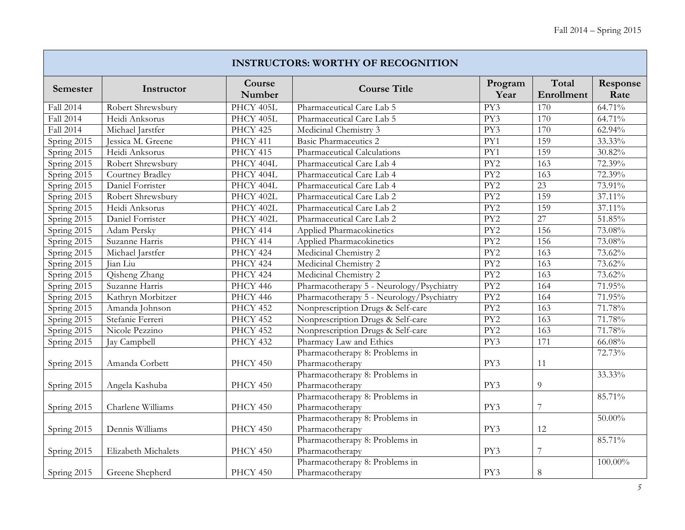$\mathbb{R}$ 

|             |                     |                  | <b>INSTRUCTORS: WORTHY OF RECOGNITION</b> |                  |                     |                  |
|-------------|---------------------|------------------|-------------------------------------------|------------------|---------------------|------------------|
| Semester    | Instructor          | Course<br>Number | <b>Course Title</b>                       | Program<br>Year  | Total<br>Enrollment | Response<br>Rate |
| Fall 2014   | Robert Shrewsbury   | PHCY 405L        | Pharmaceutical Care Lab 5                 | PY3              | 170                 | 64.71%           |
| Fall 2014   | Heidi Anksorus      | PHCY 405L        | Pharmaceutical Care Lab 5                 | PY3              | 170                 | 64.71%           |
| Fall 2014   | Michael Jarstfer    | PHCY 425         | Medicinal Chemistry 3                     | PY3              | 170                 | 62.94%           |
| Spring 2015 | Jessica M. Greene   | PHCY 411         | <b>Basic Pharmaceutics 2</b>              | PY1              | 159                 | 33.33%           |
| Spring 2015 | Heidi Anksorus      | PHCY 415         | Pharmaceutical Calculations               | PY1              | 159                 | 30.82%           |
| Spring 2015 | Robert Shrewsbury   | PHCY 404L        | Pharmaceutical Care Lab 4                 | PY <sub>2</sub>  | 163                 | $72.39\%$        |
| Spring 2015 | Courtney Bradley    | PHCY 404L        | Pharmaceutical Care Lab 4                 | PY <sub>2</sub>  | 163                 | 72.39%           |
| Spring 2015 | Daniel Forrister    | PHCY 404L        | Pharmaceutical Care Lab 4                 | PY2              | 23                  | 73.91%           |
| Spring 2015 | Robert Shrewsbury   | PHCY 402L        | Pharmaceutical Care Lab 2                 | $\overline{PY2}$ | 159                 | 37.11%           |
| Spring 2015 | Heidi Anksorus      | PHCY 402L        | Pharmaceutical Care Lab 2                 | PY <sub>2</sub>  | 159                 | 37.11%           |
| Spring 2015 | Daniel Forrister    | PHCY 402L        | Pharmaceutical Care Lab 2                 | PY <sub>2</sub>  | 27                  | 51.85%           |
| Spring 2015 | Adam Persky         | PHCY 414         | Applied Pharmacokinetics                  | PY2              | 156                 | 73.08%           |
| Spring 2015 | Suzanne Harris      | PHCY 414         | Applied Pharmacokinetics                  | PY2              | 156                 | 73.08%           |
| Spring 2015 | Michael Jarstfer    | <b>PHCY 424</b>  | Medicinal Chemistry 2                     | PY2              | 163                 | 73.62%           |
| Spring 2015 | Jian Liu            | <b>PHCY 424</b>  | Medicinal Chemistry 2                     | PY2              | $\overline{163}$    | 73.62%           |
| Spring 2015 | Qisheng Zhang       | PHCY 424         | Medicinal Chemistry 2                     | $\overline{PY2}$ | 163                 | 73.62%           |
| Spring 2015 | Suzanne Harris      | <b>PHCY 446</b>  | Pharmacotherapy 5 - Neurology/Psychiatry  | PY <sub>2</sub>  | 164                 | 71.95%           |
| Spring 2015 | Kathryn Morbitzer   | PHCY 446         | Pharmacotherapy 5 - Neurology/Psychiatry  | PY <sub>2</sub>  | 164                 | 71.95%           |
| Spring 2015 | Amanda Johnson      | PHCY 452         | Nonprescription Drugs & Self-care         | PY <sub>2</sub>  | 163                 | 71.78%           |
| Spring 2015 | Stefanie Ferreri    | PHCY 452         | Nonprescription Drugs & Self-care         | PY <sub>2</sub>  | 163                 | 71.78%           |
| Spring 2015 | Nicole Pezzino      | <b>PHCY 452</b>  | Nonprescription Drugs & Self-care         | PY2              | 163                 | 71.78%           |
| Spring 2015 | Jay Campbell        | PHCY 432         | Pharmacy Law and Ethics                   | PY3              | 171                 | 66.08%           |
|             |                     |                  | Pharmacotherapy 8: Problems in            |                  |                     | 72.73%           |
| Spring 2015 | Amanda Corbett      | PHCY 450         | Pharmacotherapy                           | PY3              | 11                  |                  |
|             |                     |                  | Pharmacotherapy 8: Problems in            |                  |                     | 33.33%           |
| Spring 2015 | Angela Kashuba      | PHCY 450         | Pharmacotherapy                           | PY3              | $\overline{9}$      |                  |
|             |                     |                  | Pharmacotherapy 8: Problems in            |                  |                     | 85.71%           |
| Spring 2015 | Charlene Williams   | PHCY 450         | Pharmacotherapy                           | PY3              | $\overline{7}$      |                  |
|             |                     |                  | Pharmacotherapy 8: Problems in            |                  |                     | $50.00\%$        |
| Spring 2015 | Dennis Williams     | PHCY 450         | Pharmacotherapy                           | PY3              | 12                  |                  |
|             |                     |                  | Pharmacotherapy 8: Problems in            |                  |                     | 85.71%           |
| Spring 2015 | Elizabeth Michalets | PHCY 450         | Pharmacotherapy                           | PY3              | $\boldsymbol{7}$    |                  |
|             |                     |                  | Pharmacotherapy 8: Problems in            |                  |                     | 100.00%          |
| Spring 2015 | Greene Shepherd     | PHCY 450         | Pharmacotherapy                           | PY3              | $\,8\,$             |                  |

T.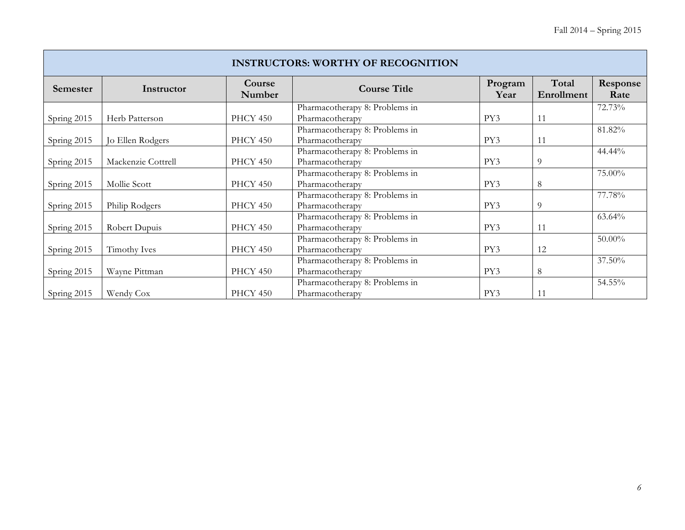|             | <b>INSTRUCTORS: WORTHY OF RECOGNITION</b> |                  |                                |                 |                     |                  |  |  |  |  |  |
|-------------|-------------------------------------------|------------------|--------------------------------|-----------------|---------------------|------------------|--|--|--|--|--|
| Semester    | Instructor                                | Course<br>Number | <b>Course Title</b>            | Program<br>Year | Total<br>Enrollment | Response<br>Rate |  |  |  |  |  |
|             |                                           |                  | Pharmacotherapy 8: Problems in |                 |                     | 72.73%           |  |  |  |  |  |
| Spring 2015 | Herb Patterson                            | PHCY 450         | Pharmacotherapy                | PY3             | 11                  |                  |  |  |  |  |  |
|             |                                           |                  | Pharmacotherapy 8: Problems in |                 |                     | 81.82%           |  |  |  |  |  |
| Spring 2015 | Jo Ellen Rodgers                          | PHCY 450         | Pharmacotherapy                | PY3             | 11                  |                  |  |  |  |  |  |
|             |                                           |                  | Pharmacotherapy 8: Problems in |                 |                     | 44.44%           |  |  |  |  |  |
| Spring 2015 | Mackenzie Cottrell                        | PHCY 450         | Pharmacotherapy                | PY3             | $\overline{9}$      |                  |  |  |  |  |  |
|             |                                           |                  | Pharmacotherapy 8: Problems in |                 |                     | 75.00%           |  |  |  |  |  |
| Spring 2015 | Mollie Scott                              | PHCY 450         | Pharmacotherapy                | PY3             | $8\,$               |                  |  |  |  |  |  |
|             |                                           |                  | Pharmacotherapy 8: Problems in |                 |                     | 77.78%           |  |  |  |  |  |
| Spring 2015 | Philip Rodgers                            | PHCY 450         | Pharmacotherapy                | PY3             | 9                   |                  |  |  |  |  |  |
|             |                                           |                  | Pharmacotherapy 8: Problems in |                 |                     | 63.64%           |  |  |  |  |  |
| Spring 2015 | Robert Dupuis                             | PHCY 450         | Pharmacotherapy                | PY3             | 11                  |                  |  |  |  |  |  |
|             |                                           |                  | Pharmacotherapy 8: Problems in |                 |                     | 50.00%           |  |  |  |  |  |
| Spring 2015 | Timothy Ives                              | PHCY 450         | Pharmacotherapy                | PY3             | 12                  |                  |  |  |  |  |  |
|             |                                           |                  | Pharmacotherapy 8: Problems in |                 |                     | 37.50%           |  |  |  |  |  |
| Spring 2015 | Wayne Pittman                             | PHCY 450         | Pharmacotherapy                | PY3             | 8                   |                  |  |  |  |  |  |
|             |                                           |                  | Pharmacotherapy 8: Problems in |                 |                     | 54.55%           |  |  |  |  |  |
| Spring 2015 | Wendy Cox                                 | PHCY 450         | Pharmacotherapy                | PY3             | 11                  |                  |  |  |  |  |  |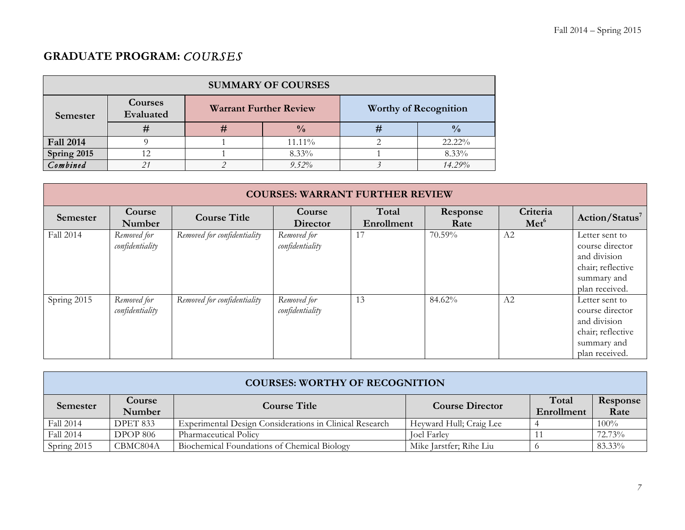# **GRADUATE PROGRAM:** *COURSES*

| <b>SUMMARY OF COURSES</b> |                      |                               |               |                              |               |  |  |  |  |
|---------------------------|----------------------|-------------------------------|---------------|------------------------------|---------------|--|--|--|--|
| Semester                  | Courses<br>Evaluated | <b>Warrant Further Review</b> |               | <b>Worthy of Recognition</b> |               |  |  |  |  |
|                           |                      | #                             | $\frac{0}{0}$ | #                            | $\frac{0}{0}$ |  |  |  |  |
| <b>Fall 2014</b>          |                      |                               | $11.11\%$     |                              | $22.22\%$     |  |  |  |  |
| Spring 2015               |                      |                               | 8.33%         |                              | 8.33%         |  |  |  |  |
| Combined                  |                      |                               | $9.52\%$      |                              | 14.29%        |  |  |  |  |

|             | <b>COURSES: WARRANT FURTHER REVIEW</b> |                             |                                |                     |                  |                              |                                                                                                         |  |  |
|-------------|----------------------------------------|-----------------------------|--------------------------------|---------------------|------------------|------------------------------|---------------------------------------------------------------------------------------------------------|--|--|
| Semester    | Course<br>Number                       | <b>Course Title</b>         | Course<br>Director             | Total<br>Enrollment | Response<br>Rate | Criteria<br>Met <sup>6</sup> | Action/Status <sup>7</sup>                                                                              |  |  |
| Fall 2014   | Removed for<br>confidentiality         | Removed for confidentiality | Removed for<br>confidentiality | 17                  | 70.59%           | A <sub>2</sub>               | Letter sent to<br>course director<br>and division<br>chair; reflective<br>summary and<br>plan received. |  |  |
| Spring 2015 | Removed for<br>confidentiality         | Removed for confidentiality | Removed for<br>confidentiality | 13                  | 84.62%           | A <sub>2</sub>               | Letter sent to<br>course director<br>and division<br>chair; reflective<br>summary and<br>plan received. |  |  |

|             | <b>COURSES: WORTHY OF RECOGNITION</b> |                                                         |                         |                     |                  |  |  |  |
|-------------|---------------------------------------|---------------------------------------------------------|-------------------------|---------------------|------------------|--|--|--|
| Semester    | <b>Course</b><br>Number               | <b>Course Title</b>                                     | <b>Course Director</b>  | Total<br>Enrollment | Response<br>Rate |  |  |  |
| Fall 2014   | DPET 833                              | Experimental Design Considerations in Clinical Research | Heyward Hull; Craig Lee |                     | $100\%$          |  |  |  |
| Fall 2014   | <b>DPOP 806</b>                       | Pharmaceutical Policy                                   | <b>Toel Farley</b>      |                     | 72.73%           |  |  |  |
| Spring 2015 | CBMC804A                              | Biochemical Foundations of Chemical Biology             | Mike Jarstfer; Rihe Liu |                     | 83.33%           |  |  |  |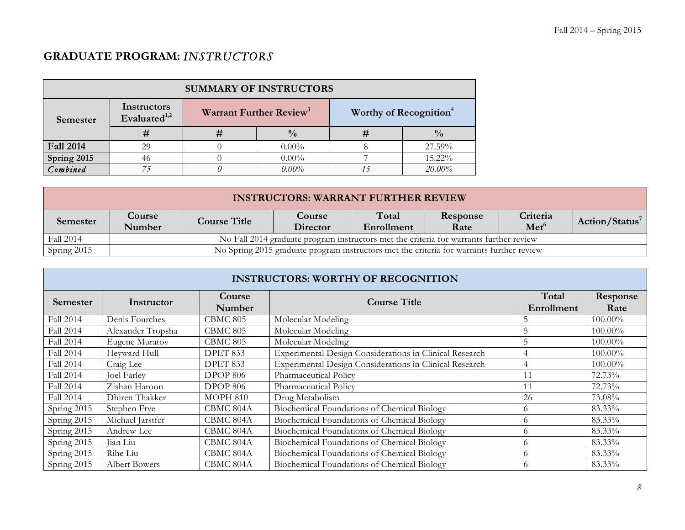# **GRADUATE PROGRAM:** *INSTRUCTORS*

| <b>SUMMARY OF INSTRUCTORS</b> |                                |          |                                     |                                    |               |  |
|-------------------------------|--------------------------------|----------|-------------------------------------|------------------------------------|---------------|--|
| Semester                      | Instructors<br>Evaluated $1,2$ |          | Warrant Further Review <sup>3</sup> | Worthy of Recognition <sup>4</sup> |               |  |
|                               | #                              | #        | $\frac{0}{0}$                       |                                    | $\frac{0}{0}$ |  |
| <b>Fall 2014</b>              | 29                             |          | $0.00\%$                            |                                    | 27.59%        |  |
| Spring 2015                   | 46                             |          | $0.00\%$                            |                                    | 15.22%        |  |
| Combined                      |                                | $\theta$ | $0.00\%$                            |                                    | 20.00%        |  |

| <b>INSTRUCTORS: WARRANT FURTHER REVIEW</b> |                                |                                                                                                                                                           |                                                                                          |  |  |  |  |  |  |
|--------------------------------------------|--------------------------------|-----------------------------------------------------------------------------------------------------------------------------------------------------------|------------------------------------------------------------------------------------------|--|--|--|--|--|--|
| Semester                                   | $\frac{1}{2}$ Course<br>Number | Total<br>Criteria<br><b>Course</b><br>Response<br>Action/Status <sup>7</sup><br><b>Course Title</b><br>Met <sup>6</sup><br>Director<br>Rate<br>Enrollment |                                                                                          |  |  |  |  |  |  |
| Fall 2014                                  |                                | No Fall 2014 graduate program instructors met the criteria for warrants further review                                                                    |                                                                                          |  |  |  |  |  |  |
| Spring 2015                                |                                |                                                                                                                                                           | No Spring 2015 graduate program instructors met the criteria for warrants further review |  |  |  |  |  |  |

| <b>INSTRUCTORS: WORTHY OF RECOGNITION</b> |                    |                  |                                                         |                     |                  |  |  |  |
|-------------------------------------------|--------------------|------------------|---------------------------------------------------------|---------------------|------------------|--|--|--|
| <b>Semester</b>                           | Instructor         | Course<br>Number | <b>Course Title</b>                                     | Total<br>Enrollment | Response<br>Rate |  |  |  |
| Fall 2014                                 | Denis Fourches     | <b>CBMC 805</b>  | Molecular Modeling                                      |                     | 100.00%          |  |  |  |
| Fall 2014                                 | Alexander Tropsha  | <b>CBMC 805</b>  | Molecular Modeling                                      |                     | $100.00\%$       |  |  |  |
| Fall 2014                                 | Eugene Muratov     | <b>CBMC 805</b>  | Molecular Modeling                                      |                     | $100.00\%$       |  |  |  |
| Fall 2014                                 | Heyward Hull       | DPET 833         | Experimental Design Considerations in Clinical Research | 4                   | 100.00%          |  |  |  |
| Fall 2014                                 | Craig Lee          | DPET 833         | Experimental Design Considerations in Clinical Research |                     | $100.00\%$       |  |  |  |
| Fall 2014                                 | <b>Joel Farley</b> | <b>DPOP 806</b>  | Pharmaceutical Policy                                   |                     | 72.73%           |  |  |  |
| Fall 2014                                 | Zishan Haroon      | <b>DPOP 806</b>  | Pharmaceutical Policy                                   |                     | 72.73%           |  |  |  |
| Fall 2014                                 | Dhiren Thakker     | <b>MOPH 810</b>  | Drug Metabolism                                         | 26                  | 73.08%           |  |  |  |
| Spring 2015                               | Stephen Frye       | CBMC 804A        | Biochemical Foundations of Chemical Biology             | $\Omega$            | 83.33%           |  |  |  |
| Spring 2015                               | Michael Jarstfer   | CBMC 804A        | Biochemical Foundations of Chemical Biology             | $\Omega$            | 83.33%           |  |  |  |
| Spring 2015                               | Andrew Lee         | CBMC 804A        | Biochemical Foundations of Chemical Biology             | $\Omega$            | 83.33%           |  |  |  |
| Spring 2015                               | Jian Liu           | CBMC 804A        | Biochemical Foundations of Chemical Biology             |                     | 83.33%           |  |  |  |
| Spring 2015                               | Rihe Liu           | CBMC 804A        | Biochemical Foundations of Chemical Biology             | $\sqrt{ }$          | 83.33%           |  |  |  |
| Spring 2015                               | Albert Bowers      | CBMC 804A        | Biochemical Foundations of Chemical Biology             | $\Omega$            | 83.33%           |  |  |  |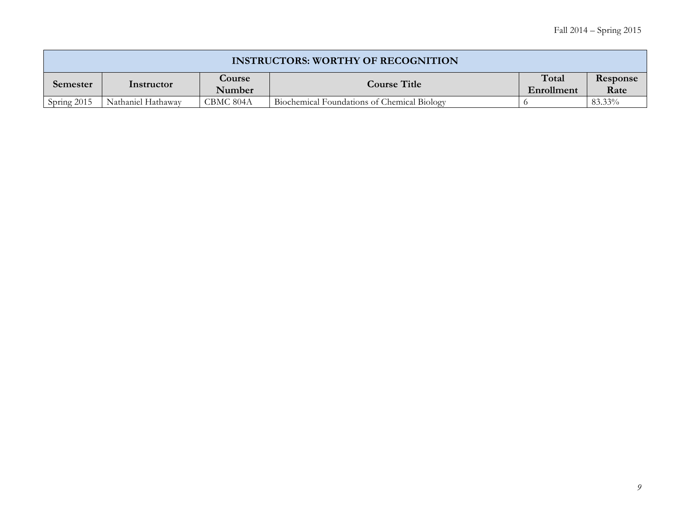|             | <b>INSTRUCTORS: WORTHY OF RECOGNITION</b> |                  |                                             |                     |                  |  |  |  |
|-------------|-------------------------------------------|------------------|---------------------------------------------|---------------------|------------------|--|--|--|
| Semester    | Instructor                                | Course<br>Number | <b>Course Title</b>                         | Total<br>Enrollment | Response<br>Rate |  |  |  |
| Spring 2015 | Nathaniel Hathaway                        | CBMC 804A        | Biochemical Foundations of Chemical Biology |                     | 83.33%           |  |  |  |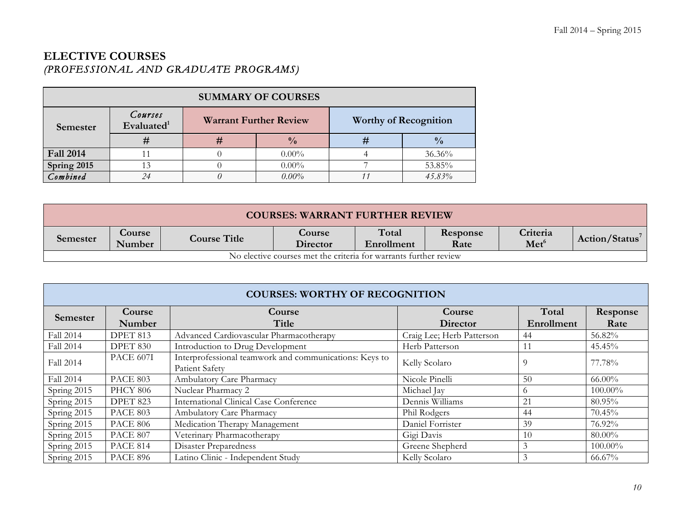# **ELECTIVE COURSES**  *(PROFESSIONAL AND GRADUATE PROGRAMS)*

| <b>SUMMARY OF COURSES</b> |                          |                               |               |                              |               |  |
|---------------------------|--------------------------|-------------------------------|---------------|------------------------------|---------------|--|
| Semester                  | Courses<br>Evaluated $1$ | <b>Warrant Further Review</b> |               | <b>Worthy of Recognition</b> |               |  |
|                           |                          | #                             | $\frac{0}{0}$ |                              | $\frac{0}{0}$ |  |
| <b>Fall 2014</b>          |                          |                               | $0.00\%$      |                              | $36.36\%$     |  |
| Spring 2015               |                          |                               | $0.00\%$      |                              | 53.85%        |  |
| Combined                  | 24                       | $\iota$                       | $0.00\%$      |                              | 45.83%        |  |

|                                                                  | <b>COURSES: WARRANT FURTHER REVIEW</b> |                     |                           |                     |                  |                              |                     |  |
|------------------------------------------------------------------|----------------------------------------|---------------------|---------------------------|---------------------|------------------|------------------------------|---------------------|--|
| Semester                                                         | Course<br>Number                       | <b>Course Title</b> | <b>Course</b><br>Director | Total<br>Enrollment | Response<br>Rate | Criteria<br>Met <sup>6</sup> | $Action / Status^7$ |  |
| No elective courses met the criteria for warrants further review |                                        |                     |                           |                     |                  |                              |                     |  |

| <b>COURSES: WORTHY OF RECOGNITION</b> |                 |                                                        |                           |            |            |  |  |  |
|---------------------------------------|-----------------|--------------------------------------------------------|---------------------------|------------|------------|--|--|--|
| Semester                              | Course          | Course                                                 | Course                    | Total      | Response   |  |  |  |
|                                       | Number          | Title                                                  | Director                  | Enrollment | Rate       |  |  |  |
| Fall 2014                             | DPET 813        | Advanced Cardiovascular Pharmacotherapy                | Craig Lee; Herb Patterson | 44         | 56.82%     |  |  |  |
| Fall 2014                             | DPET 830        | Introduction to Drug Development                       | Herb Patterson            | 11         | 45.45%     |  |  |  |
| Fall 2014                             | PACE 607I       | Interprofessional teamwork and communications: Keys to | Kelly Scolaro             | 9          | 77.78%     |  |  |  |
|                                       |                 | Patient Safety                                         |                           |            |            |  |  |  |
| Fall 2014                             | PACE 803        | Ambulatory Care Pharmacy                               | Nicole Pinelli            | 50         | $66.00\%$  |  |  |  |
| Spring 2015                           | <b>PHCY 806</b> | Nuclear Pharmacy 2                                     | Michael Jay               | O          | $100.00\%$ |  |  |  |
| Spring 2015                           | DPET 823        | <b>International Clinical Case Conference</b>          | Dennis Williams           | 21         | 80.95%     |  |  |  |
| Spring 2015                           | PACE 803        | Ambulatory Care Pharmacy                               | Phil Rodgers              | 44         | 70.45%     |  |  |  |
| Spring 2015                           | <b>PACE 806</b> | Medication Therapy Management                          | Daniel Forrister          | 39         | 76.92%     |  |  |  |
| Spring 2015                           | PACE 807        | Veterinary Pharmacotherapy                             | Gigi Davis                | 10         | 80.00%     |  |  |  |
| Spring 2015                           | <b>PACE 814</b> | Disaster Preparedness                                  | Greene Shepherd           | 3          | $100.00\%$ |  |  |  |
| Spring 2015                           | <b>PACE 896</b> | Latino Clinic - Independent Study                      | Kelly Scolaro             |            | 66.67%     |  |  |  |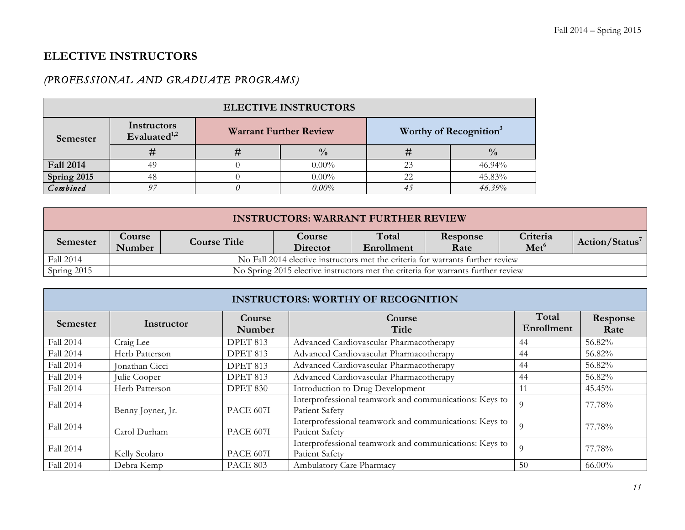# **ELECTIVE INSTRUCTORS**

## *(PROFESSIONAL AND GRADUATE PROGRAMS)*

| <b>ELECTIVE INSTRUCTORS</b> |                                |  |                               |    |                                    |  |  |
|-----------------------------|--------------------------------|--|-------------------------------|----|------------------------------------|--|--|
| Semester                    | Instructors<br>Evaluated $1,2$ |  | <b>Warrant Further Review</b> |    | Worthy of Recognition <sup>3</sup> |  |  |
|                             | #                              |  | $\frac{0}{0}$                 |    | $\frac{0}{0}$                      |  |  |
| <b>Fall 2014</b>            | 49                             |  | $0.00\%$                      | 23 | 46.94%                             |  |  |
| Spring 2015                 | 48                             |  | $0.00\%$                      |    | 45.83%                             |  |  |
| Combined                    | 97                             |  | $0.00\%$                      |    | 46.39%                             |  |  |

| <b>INSTRUCTORS: WARRANT FURTHER REVIEW</b> |                         |                                                                                                                                                    |                                                                                  |  |  |  |  |  |  |
|--------------------------------------------|-------------------------|----------------------------------------------------------------------------------------------------------------------------------------------------|----------------------------------------------------------------------------------|--|--|--|--|--|--|
| Semester                                   | <b>Course</b><br>Number | Total<br>Criteria<br>Response<br>Course<br>Action/Status <sup>7</sup><br><b>Course Title</b><br>Met <sup>6</sup><br>Director<br>Rate<br>Enrollment |                                                                                  |  |  |  |  |  |  |
| Fall 2014                                  |                         | No Fall 2014 elective instructors met the criteria for warrants further review                                                                     |                                                                                  |  |  |  |  |  |  |
| Spring 2015                                |                         |                                                                                                                                                    | No Spring 2015 elective instructors met the criteria for warrants further review |  |  |  |  |  |  |

| <b>INSTRUCTORS: WORTHY OF RECOGNITION</b> |                   |                  |                                                                          |                     |                  |  |  |  |  |
|-------------------------------------------|-------------------|------------------|--------------------------------------------------------------------------|---------------------|------------------|--|--|--|--|
| <b>Semester</b>                           | Instructor        | Course<br>Number | Course<br>Title                                                          | Total<br>Enrollment | Response<br>Rate |  |  |  |  |
| Fall 2014                                 | Craig Lee         | DPET 813         | Advanced Cardiovascular Pharmacotherapy                                  | -44                 | 56.82%           |  |  |  |  |
| Fall 2014                                 | Herb Patterson    | DPET 813         | Advanced Cardiovascular Pharmacotherapy                                  | 44                  | 56.82%           |  |  |  |  |
| Fall 2014                                 | Jonathan Cicci    | DPET 813         | Advanced Cardiovascular Pharmacotherapy                                  | 44                  | 56.82%           |  |  |  |  |
| Fall 2014                                 | Julie Cooper      | DPET 813         | Advanced Cardiovascular Pharmacotherapy                                  | 44                  | 56.82%           |  |  |  |  |
| Fall 2014                                 | Herb Patterson    | DPET 830         | Introduction to Drug Development                                         | 11                  | 45.45%           |  |  |  |  |
| Fall 2014                                 | Benny Joyner, Jr. | PACE 607I        | Interprofessional teamwork and communications: Keys to<br>Patient Safety | -9                  | 77.78%           |  |  |  |  |
| Fall 2014                                 | Carol Durham      | <b>PACE 607I</b> | Interprofessional teamwork and communications: Keys to<br>Patient Safety | -9                  | 77.78%           |  |  |  |  |
| Fall 2014                                 | Kelly Scolaro     | PACE 607I        | Interprofessional teamwork and communications: Keys to<br>Patient Safety | -9                  | 77.78%           |  |  |  |  |
| Fall 2014                                 | Debra Kemp        | <b>PACE 803</b>  | Ambulatory Care Pharmacy                                                 | 50                  | 66.00%           |  |  |  |  |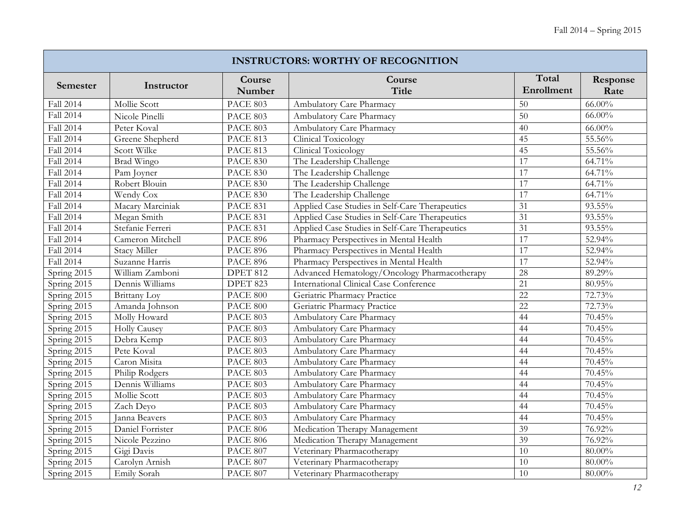| <b>INSTRUCTORS: WORTHY OF RECOGNITION</b> |                      |                  |                                                |                     |                  |  |  |  |
|-------------------------------------------|----------------------|------------------|------------------------------------------------|---------------------|------------------|--|--|--|
| <b>Semester</b>                           | Instructor           | Course<br>Number | Course<br>Title                                | Total<br>Enrollment | Response<br>Rate |  |  |  |
| Fall 2014                                 | Mollie Scott         | <b>PACE 803</b>  | Ambulatory Care Pharmacy                       | 50                  | $66.00\%$        |  |  |  |
| Fall 2014                                 | Nicole Pinelli       | PACE 803         | Ambulatory Care Pharmacy                       | 50                  | $66.00\%$        |  |  |  |
| Fall 2014                                 | Peter Koval          | <b>PACE 803</b>  | Ambulatory Care Pharmacy                       | 40                  | $66.00\%$        |  |  |  |
| <b>Fall 2014</b>                          | Greene Shepherd      | <b>PACE 813</b>  | Clinical Toxicology                            | 45                  | 55.56%           |  |  |  |
| Fall 2014                                 | Scott Wilke          | <b>PACE 813</b>  | Clinical Toxicology                            | 45                  | 55.56%           |  |  |  |
| Fall 2014                                 | Brad Wingo           | <b>PACE 830</b>  | The Leadership Challenge                       | $\overline{17}$     | 64.71%           |  |  |  |
| Fall 2014                                 | Pam Joyner           | <b>PACE 830</b>  | The Leadership Challenge                       | 17                  | 64.71%           |  |  |  |
| Fall 2014                                 | Robert Blouin        | <b>PACE 830</b>  | The Leadership Challenge                       | 17                  | 64.71%           |  |  |  |
| <b>Fall 2014</b>                          | Wendy Cox            | <b>PACE 830</b>  | The Leadership Challenge                       | 17                  | 64.71%           |  |  |  |
| <b>Fall 2014</b>                          | Macary Marciniak     | <b>PACE 831</b>  | Applied Case Studies in Self-Care Therapeutics | 31                  | 93.55%           |  |  |  |
| Fall 2014                                 | Megan Smith          | <b>PACE 831</b>  | Applied Case Studies in Self-Care Therapeutics | 31                  | 93.55%           |  |  |  |
| Fall 2014                                 | Stefanie Ferreri     | <b>PACE 831</b>  | Applied Case Studies in Self-Care Therapeutics | 31                  | 93.55%           |  |  |  |
| <b>Fall 2014</b>                          | Cameron Mitchell     | <b>PACE 896</b>  | Pharmacy Perspectives in Mental Health         | 17                  | 52.94%           |  |  |  |
| Fall 2014                                 | Stacy Miller         | <b>PACE 896</b>  | Pharmacy Perspectives in Mental Health         | 17                  | 52.94%           |  |  |  |
| Fall 2014                                 | Suzanne Harris       | <b>PACE 896</b>  | Pharmacy Perspectives in Mental Health         | $\overline{17}$     | 52.94%           |  |  |  |
| Spring 2015                               | William Zamboni      | <b>DPET 812</b>  | Advanced Hematology/Oncology Pharmacotherapy   | 28                  | 89.29%           |  |  |  |
| Spring 2015                               | Dennis Williams      | DPET 823         | International Clinical Case Conference         | 21                  | 80.95%           |  |  |  |
| Spring 2015                               | Brittany Loy         | <b>PACE 800</b>  | Geriatric Pharmacy Practice                    | $\overline{22}$     | 72.73%           |  |  |  |
| Spring 2015                               | Amanda Johnson       | PACE 800         | Geriatric Pharmacy Practice                    | $\overline{22}$     | 72.73%           |  |  |  |
| Spring 2015                               | Molly Howard         | <b>PACE 803</b>  | Ambulatory Care Pharmacy                       | 44                  | 70.45%           |  |  |  |
| Spring 2015                               | <b>Holly Causey</b>  | PACE 803         | Ambulatory Care Pharmacy                       | 44                  | 70.45%           |  |  |  |
| Spring 2015                               | Debra Kemp           | PACE 803         | Ambulatory Care Pharmacy                       | 44                  | 70.45%           |  |  |  |
| Spring 2015                               | Pete Koval           | PACE 803         | Ambulatory Care Pharmacy                       | 44                  | 70.45%           |  |  |  |
| Spring 2015                               | Caron Misita         | <b>PACE 803</b>  | Ambulatory Care Pharmacy                       | 44                  | 70.45%           |  |  |  |
| Spring 2015                               | Philip Rodgers       | PACE 803         | Ambulatory Care Pharmacy                       | 44                  | 70.45%           |  |  |  |
| Spring 2015                               | Dennis Williams      | PACE 803         | Ambulatory Care Pharmacy                       | 44                  | 70.45%           |  |  |  |
| Spring 2015                               | Mollie Scott         | PACE 803         | Ambulatory Care Pharmacy                       | 44                  | 70.45%           |  |  |  |
| Spring 2015                               | Zach Devo            | <b>PACE 803</b>  | Ambulatory Care Pharmacy                       | $\overline{44}$     | 70.45%           |  |  |  |
| Spring 2015                               | <b>Ianna Beavers</b> | <b>PACE 803</b>  | Ambulatory Care Pharmacy                       | 44                  | 70.45%           |  |  |  |
| Spring 2015                               | Daniel Forrister     | <b>PACE 806</b>  | Medication Therapy Management                  | 39                  | 76.92%           |  |  |  |
| Spring 2015                               | Nicole Pezzino       | <b>PACE 806</b>  | Medication Therapy Management                  | $\overline{39}$     | 76.92%           |  |  |  |
| Spring 2015                               | Gigi Davis           | PACE 807         | Veterinary Pharmacotherapy                     | 10                  | $80.00\%$        |  |  |  |
| Spring 2015                               | Carolyn Arnish       | PACE 807         | Veterinary Pharmacotherapy                     | 10                  | $80.00\%$        |  |  |  |
| Spring 2015                               | Emily Sorah          | PACE 807         | Veterinary Pharmacotherapy                     | 10                  | $80.00\%$        |  |  |  |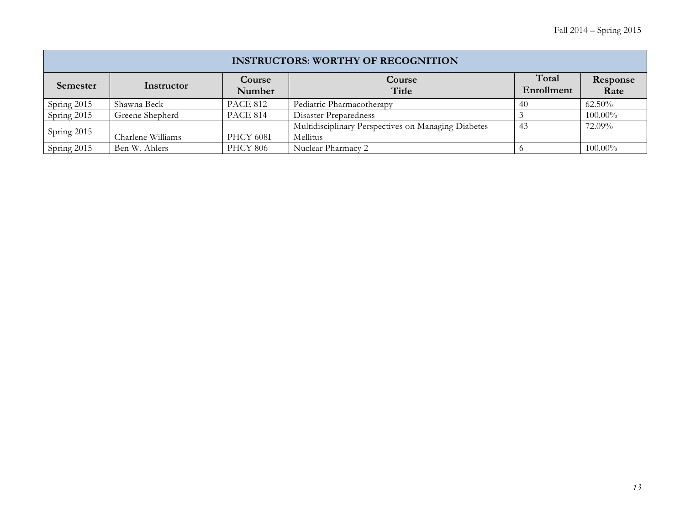| <b>INSTRUCTORS: WORTHY OF RECOGNITION</b> |                   |                  |                                                                 |                     |                  |
|-------------------------------------------|-------------------|------------------|-----------------------------------------------------------------|---------------------|------------------|
| Semester                                  | Instructor        | Course<br>Number | Course<br>Title                                                 | Total<br>Enrollment | Response<br>Rate |
| Spring 2015                               | Shawna Beck       | <b>PACE 812</b>  | Pediatric Pharmacotherapy                                       | 40                  | $62.50\%$        |
| Spring $2015$                             | Greene Shepherd   | PACE 814         | Disaster Preparedness                                           |                     | $100.00\%$       |
| Spring 2015                               | Charlene Williams | PHCY 608I        | Multidisciplinary Perspectives on Managing Diabetes<br>Mellitus | 43                  | 72.09%           |
| Spring 2015                               | Ben W. Ahlers     | <b>PHCY 806</b>  | Nuclear Pharmacy 2                                              |                     | $100.00\%$       |